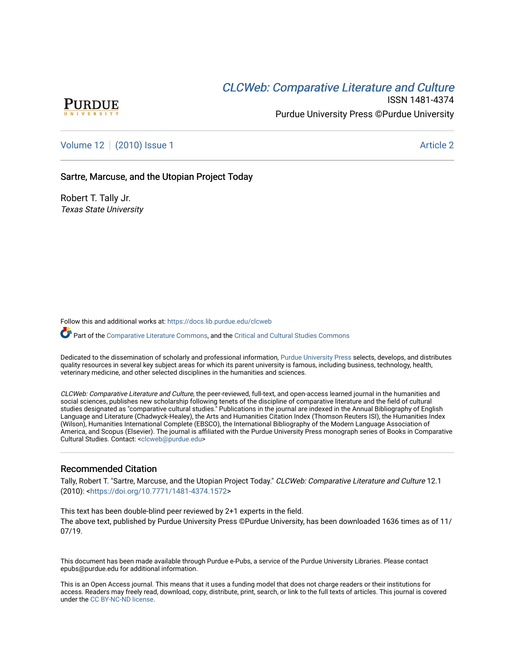# **CLCW[eb: Comparative Liter](https://docs.lib.purdue.edu/clcweb)ature and Culture**



ISSN 1481-4374 Purdue University Press ©Purdue University

[Volume 12](https://docs.lib.purdue.edu/clcweb/vol12) | [\(2010\) Issue 1](https://docs.lib.purdue.edu/clcweb/vol12/iss1) Article 2

## Sartre, Marcuse, and the Utopian Project Today

Robert T. Tally Jr. Texas State University

Follow this and additional works at: [https://docs.lib.purdue.edu/clcweb](https://docs.lib.purdue.edu/clcweb?utm_source=docs.lib.purdue.edu%2Fclcweb%2Fvol12%2Fiss1%2F2&utm_medium=PDF&utm_campaign=PDFCoverPages)

Part of the [Comparative Literature Commons,](http://network.bepress.com/hgg/discipline/454?utm_source=docs.lib.purdue.edu%2Fclcweb%2Fvol12%2Fiss1%2F2&utm_medium=PDF&utm_campaign=PDFCoverPages) and the Critical and Cultural Studies Commons

Dedicated to the dissemination of scholarly and professional information, [Purdue University Press](http://www.thepress.purdue.edu/) selects, develops, and distributes quality resources in several key subject areas for which its parent university is famous, including business, technology, health, veterinary medicine, and other selected disciplines in the humanities and sciences.

CLCWeb: Comparative Literature and Culture, the peer-reviewed, full-text, and open-access learned journal in the humanities and social sciences, publishes new scholarship following tenets of the discipline of comparative literature and the field of cultural studies designated as "comparative cultural studies." Publications in the journal are indexed in the Annual Bibliography of English Language and Literature (Chadwyck-Healey), the Arts and Humanities Citation Index (Thomson Reuters ISI), the Humanities Index (Wilson), Humanities International Complete (EBSCO), the International Bibliography of the Modern Language Association of America, and Scopus (Elsevier). The journal is affiliated with the Purdue University Press monograph series of Books in Comparative Cultural Studies. Contact: [<clcweb@purdue.edu](mailto:clcweb@purdue.edu)>

# Recommended Citation

Tally, Robert T. "Sartre, Marcuse, and the Utopian Project Today." CLCWeb: Comparative Literature and Culture 12.1 (2010): [<https://doi.org/10.7771/1481-4374.1572](https://doi.org/10.7771/1481-4374.1572)>

This text has been double-blind peer reviewed by 2+1 experts in the field. The above text, published by Purdue University Press ©Purdue University, has been downloaded 1636 times as of 11/ 07/19.

This document has been made available through Purdue e-Pubs, a service of the Purdue University Libraries. Please contact epubs@purdue.edu for additional information.

This is an Open Access journal. This means that it uses a funding model that does not charge readers or their institutions for access. Readers may freely read, download, copy, distribute, print, search, or link to the full texts of articles. This journal is covered under the [CC BY-NC-ND license.](https://creativecommons.org/licenses/by-nc-nd/4.0/)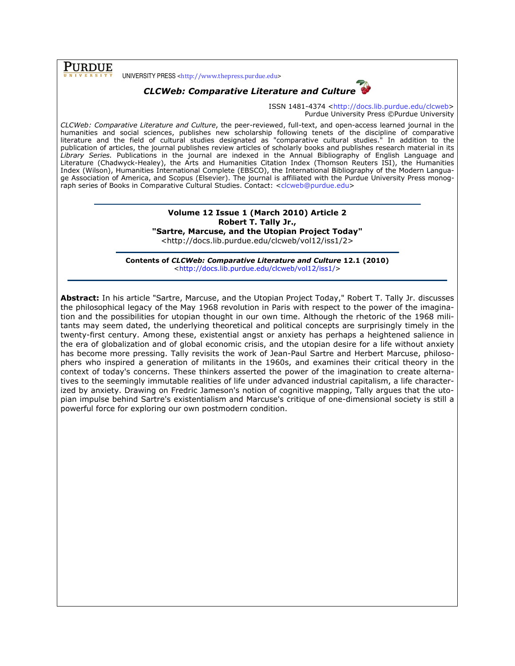**PURDUE** 

UNIVERSITY PRESS <http://www.thepress.purdue.edu>



ISSN 1481-4374 <http://docs.lib.purdue.edu/clcweb> Purdue University Press ©Purdue University

CLCWeb: Comparative Literature and Culture, the peer-reviewed, full-text, and open-access learned journal in the humanities and social sciences, publishes new scholarship following tenets of the discipline of comparative literature and the field of cultural studies designated as "comparative cultural studies." In addition to the publication of articles, the journal publishes review articles of scholarly books and publishes research material in its Library Series. Publications in the journal are indexed in the Annual Bibliography of English Language and Literature (Chadwyck-Healey), the Arts and Humanities Citation Index (Thomson Reuters ISI), the Humanities Index (Wilson), Humanities International Complete (EBSCO), the International Bibliography of the Modern Language Association of America, and Scopus (Elsevier). The journal is affiliated with the Purdue University Press monograph series of Books in Comparative Cultural Studies. Contact: <clcweb@purdue.edu>

#### Volume 12 Issue 1 (March 2010) Article 2 Robert T. Tally Jr., "Sartre, Marcuse, and the Utopian Project Today"

<http://docs.lib.purdue.edu/clcweb/vol12/iss1/2>

Contents of CLCWeb: Comparative Literature and Culture 12.1 (2010) <http://docs.lib.purdue.edu/clcweb/vol12/iss1/>

Abstract: In his article "Sartre, Marcuse, and the Utopian Project Today," Robert T. Tally Jr. discusses the philosophical legacy of the May 1968 revolution in Paris with respect to the power of the imagination and the possibilities for utopian thought in our own time. Although the rhetoric of the 1968 militants may seem dated, the underlying theoretical and political concepts are surprisingly timely in the twenty-first century. Among these, existential angst or anxiety has perhaps a heightened salience in the era of globalization and of global economic crisis, and the utopian desire for a life without anxiety has become more pressing. Tally revisits the work of Jean-Paul Sartre and Herbert Marcuse, philosophers who inspired a generation of militants in the 1960s, and examines their critical theory in the context of today's concerns. These thinkers asserted the power of the imagination to create alternatives to the seemingly immutable realities of life under advanced industrial capitalism, a life characterized by anxiety. Drawing on Fredric Jameson's notion of cognitive mapping, Tally argues that the utopian impulse behind Sartre's existentialism and Marcuse's critique of one-dimensional society is still a powerful force for exploring our own postmodern condition.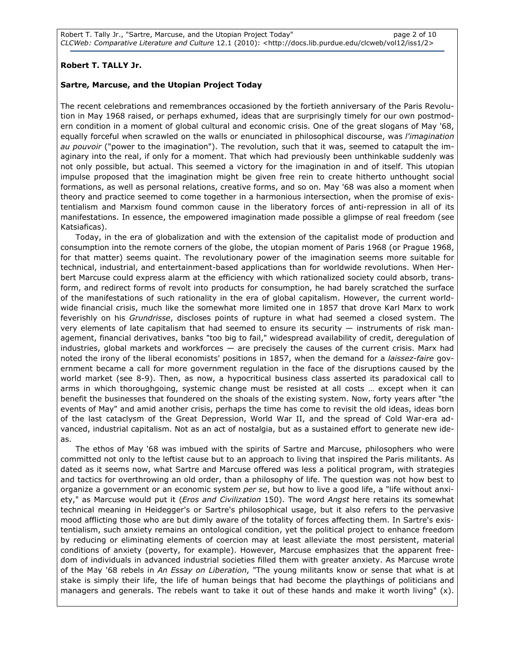# Robert T. TALLY Jr.

## Sartre, Marcuse, and the Utopian Project Today

The recent celebrations and remembrances occasioned by the fortieth anniversary of the Paris Revolution in May 1968 raised, or perhaps exhumed, ideas that are surprisingly timely for our own postmodern condition in a moment of global cultural and economic crisis. One of the great slogans of May '68, equally forceful when scrawled on the walls or enunciated in philosophical discourse, was l'imagination au pouvoir ("power to the imagination"). The revolution, such that it was, seemed to catapult the imaginary into the real, if only for a moment. That which had previously been unthinkable suddenly was not only possible, but actual. This seemed a victory for the imagination in and of itself. This utopian impulse proposed that the imagination might be given free rein to create hitherto unthought social formations, as well as personal relations, creative forms, and so on. May '68 was also a moment when theory and practice seemed to come together in a harmonious intersection, when the promise of existentialism and Marxism found common cause in the liberatory forces of anti-repression in all of its manifestations. In essence, the empowered imagination made possible a glimpse of real freedom (see Katsiaficas).

Today, in the era of globalization and with the extension of the capitalist mode of production and consumption into the remote corners of the globe, the utopian moment of Paris 1968 (or Prague 1968, for that matter) seems quaint. The revolutionary power of the imagination seems more suitable for technical, industrial, and entertainment-based applications than for worldwide revolutions. When Herbert Marcuse could express alarm at the efficiency with which rationalized society could absorb, transform, and redirect forms of revolt into products for consumption, he had barely scratched the surface of the manifestations of such rationality in the era of global capitalism. However, the current worldwide financial crisis, much like the somewhat more limited one in 1857 that drove Karl Marx to work feverishly on his Grundrisse, discloses points of rupture in what had seemed a closed system. The very elements of late capitalism that had seemed to ensure its security  $-$  instruments of risk management, financial derivatives, banks "too big to fail," widespread availability of credit, deregulation of industries, global markets and workforces  $-$  are precisely the causes of the current crisis. Marx had noted the irony of the liberal economists' positions in 1857, when the demand for a laissez-faire government became a call for more government regulation in the face of the disruptions caused by the world market (see 8-9). Then, as now, a hypocritical business class asserted its paradoxical call to arms in which thoroughgoing, systemic change must be resisted at all costs … except when it can benefit the businesses that foundered on the shoals of the existing system. Now, forty years after "the events of May" and amid another crisis, perhaps the time has come to revisit the old ideas, ideas born of the last cataclysm of the Great Depression, World War II, and the spread of Cold War-era advanced, industrial capitalism. Not as an act of nostalgia, but as a sustained effort to generate new ideas.

The ethos of May '68 was imbued with the spirits of Sartre and Marcuse, philosophers who were committed not only to the leftist cause but to an approach to living that inspired the Paris militants. As dated as it seems now, what Sartre and Marcuse offered was less a political program, with strategies and tactics for overthrowing an old order, than a philosophy of life. The question was not how best to organize a government or an economic system per se, but how to live a good life, a "life without anxiety," as Marcuse would put it (*Eros and Civilization* 150). The word Angst here retains its somewhat technical meaning in Heidegger's or Sartre's philosophical usage, but it also refers to the pervasive mood afflicting those who are but dimly aware of the totality of forces affecting them. In Sartre's existentialism, such anxiety remains an ontological condition, yet the political project to enhance freedom by reducing or eliminating elements of coercion may at least alleviate the most persistent, material conditions of anxiety (poverty, for example). However, Marcuse emphasizes that the apparent freedom of individuals in advanced industrial societies filled them with greater anxiety. As Marcuse wrote of the May '68 rebels in An Essay on Liberation, "The young militants know or sense that what is at stake is simply their life, the life of human beings that had become the playthings of politicians and managers and generals. The rebels want to take it out of these hands and make it worth living"  $(x)$ .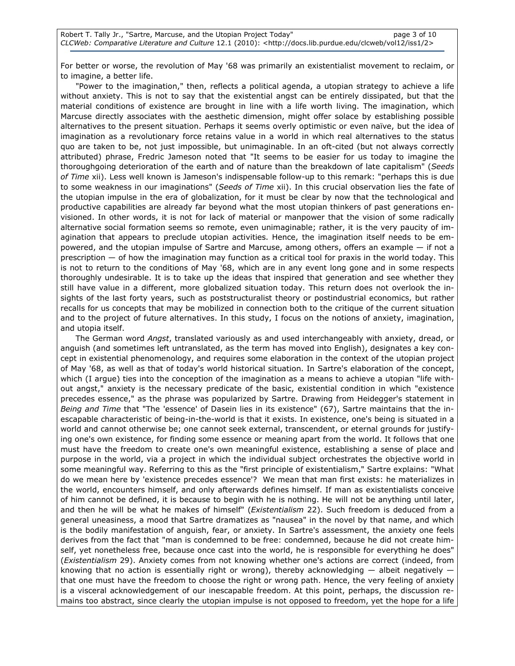For better or worse, the revolution of May '68 was primarily an existentialist movement to reclaim, or to imagine, a better life.

"Power to the imagination," then, reflects a political agenda, a utopian strategy to achieve a life without anxiety. This is not to say that the existential angst can be entirely dissipated, but that the material conditions of existence are brought in line with a life worth living. The imagination, which Marcuse directly associates with the aesthetic dimension, might offer solace by establishing possible alternatives to the present situation. Perhaps it seems overly optimistic or even naïve, but the idea of imagination as a revolutionary force retains value in a world in which real alternatives to the status quo are taken to be, not just impossible, but unimaginable. In an oft-cited (but not always correctly attributed) phrase, Fredric Jameson noted that "It seems to be easier for us today to imagine the thoroughgoing deterioration of the earth and of nature than the breakdown of late capitalism" (Seeds of Time xii). Less well known is Jameson's indispensable follow-up to this remark: "perhaps this is due to some weakness in our imaginations" (Seeds of Time xii). In this crucial observation lies the fate of the utopian impulse in the era of globalization, for it must be clear by now that the technological and productive capabilities are already far beyond what the most utopian thinkers of past generations envisioned. In other words, it is not for lack of material or manpower that the vision of some radically alternative social formation seems so remote, even unimaginable; rather, it is the very paucity of imagination that appears to preclude utopian activities. Hence, the imagination itself needs to be empowered, and the utopian impulse of Sartre and Marcuse, among others, offers an example — if not a prescription — of how the imagination may function as a critical tool for praxis in the world today. This is not to return to the conditions of May '68, which are in any event long gone and in some respects thoroughly undesirable. It is to take up the ideas that inspired that generation and see whether they still have value in a different, more globalized situation today. This return does not overlook the insights of the last forty years, such as poststructuralist theory or postindustrial economics, but rather recalls for us concepts that may be mobilized in connection both to the critique of the current situation and to the project of future alternatives. In this study, I focus on the notions of anxiety, imagination, and utopia itself.

The German word Angst, translated variously as and used interchangeably with anxiety, dread, or anguish (and sometimes left untranslated, as the term has moved into English), designates a key concept in existential phenomenology, and requires some elaboration in the context of the utopian project of May '68, as well as that of today's world historical situation. In Sartre's elaboration of the concept, which (I argue) ties into the conception of the imagination as a means to achieve a utopian "life without angst," anxiety is the necessary predicate of the basic, existential condition in which "existence precedes essence," as the phrase was popularized by Sartre. Drawing from Heidegger's statement in Being and Time that "The 'essence' of Dasein lies in its existence" (67), Sartre maintains that the inescapable characteristic of being-in-the-world is that it exists. In existence, one's being is situated in a world and cannot otherwise be; one cannot seek external, transcendent, or eternal grounds for justifying one's own existence, for finding some essence or meaning apart from the world. It follows that one must have the freedom to create one's own meaningful existence, establishing a sense of place and purpose in the world, via a project in which the individual subject orchestrates the objective world in some meaningful way. Referring to this as the "first principle of existentialism," Sartre explains: "What do we mean here by 'existence precedes essence'? We mean that man first exists: he materializes in the world, encounters himself, and only afterwards defines himself. If man as existentialists conceive of him cannot be defined, it is because to begin with he is nothing. He will not be anything until later, and then he will be what he makes of himself" (Existentialism 22). Such freedom is deduced from a general uneasiness, a mood that Sartre dramatizes as "nausea" in the novel by that name, and which is the bodily manifestation of anguish, fear, or anxiety. In Sartre's assessment, the anxiety one feels derives from the fact that "man is condemned to be free: condemned, because he did not create himself, yet nonetheless free, because once cast into the world, he is responsible for everything he does" (Existentialism 29). Anxiety comes from not knowing whether one's actions are correct (indeed, from knowing that no action is essentially right or wrong), thereby acknowledging  $-$  albeit negatively  $$ that one must have the freedom to choose the right or wrong path. Hence, the very feeling of anxiety is a visceral acknowledgement of our inescapable freedom. At this point, perhaps, the discussion remains too abstract, since clearly the utopian impulse is not opposed to freedom, yet the hope for a life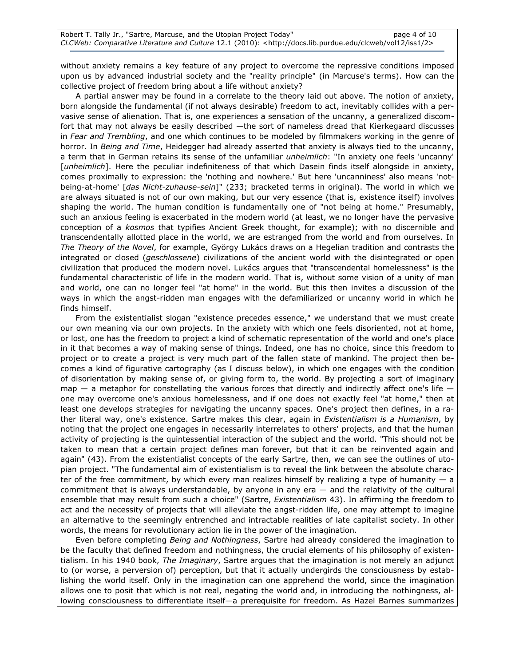without anxiety remains a key feature of any project to overcome the repressive conditions imposed upon us by advanced industrial society and the "reality principle" (in Marcuse's terms). How can the collective project of freedom bring about a life without anxiety?

A partial answer may be found in a correlate to the theory laid out above. The notion of anxiety, born alongside the fundamental (if not always desirable) freedom to act, inevitably collides with a pervasive sense of alienation. That is, one experiences a sensation of the uncanny, a generalized discomfort that may not always be easily described —the sort of nameless dread that Kierkegaard discusses in Fear and Trembling, and one which continues to be modeled by filmmakers working in the genre of horror. In Being and Time, Heidegger had already asserted that anxiety is always tied to the uncanny, a term that in German retains its sense of the unfamiliar *unheimlich*: "In anxiety one feels 'uncanny' [unheimlich]. Here the peculiar indefiniteness of that which Dasein finds itself alongside in anxiety, comes proximally to expression: the 'nothing and nowhere.' But here 'uncanniness' also means 'notbeing-at-home' [das Nicht-zuhause-sein]" (233; bracketed terms in original). The world in which we are always situated is not of our own making, but our very essence (that is, existence itself) involves shaping the world. The human condition is fundamentally one of "not being at home." Presumably, such an anxious feeling is exacerbated in the modern world (at least, we no longer have the pervasive conception of a kosmos that typifies Ancient Greek thought, for example); with no discernible and transcendentally allotted place in the world, we are estranged from the world and from ourselves. In The Theory of the Novel, for example, György Lukács draws on a Hegelian tradition and contrasts the integrated or closed (geschlossene) civilizations of the ancient world with the disintegrated or open civilization that produced the modern novel. Lukács argues that "transcendental homelessness" is the fundamental characteristic of life in the modern world. That is, without some vision of a unity of man and world, one can no longer feel "at home" in the world. But this then invites a discussion of the ways in which the angst-ridden man engages with the defamiliarized or uncanny world in which he finds himself.

From the existentialist slogan "existence precedes essence," we understand that we must create our own meaning via our own projects. In the anxiety with which one feels disoriented, not at home, or lost, one has the freedom to project a kind of schematic representation of the world and one's place in it that becomes a way of making sense of things. Indeed, one has no choice, since this freedom to project or to create a project is very much part of the fallen state of mankind. The project then becomes a kind of figurative cartography (as I discuss below), in which one engages with the condition of disorientation by making sense of, or giving form to, the world. By projecting a sort of imaginary map  $-$  a metaphor for constellating the various forces that directly and indirectly affect one's life  $$ one may overcome one's anxious homelessness, and if one does not exactly feel "at home," then at least one develops strategies for navigating the uncanny spaces. One's project then defines, in a rather literal way, one's existence. Sartre makes this clear, again in *Existentialism is a Humanism*, by noting that the project one engages in necessarily interrelates to others' projects, and that the human activity of projecting is the quintessential interaction of the subject and the world. "This should not be taken to mean that a certain project defines man forever, but that it can be reinvented again and again" (43). From the existentialist concepts of the early Sartre, then, we can see the outlines of utopian project. "The fundamental aim of existentialism is to reveal the link between the absolute character of the free commitment, by which every man realizes himself by realizing a type of humanity — a commitment that is always understandable, by anyone in any era — and the relativity of the cultural ensemble that may result from such a choice" (Sartre, Existentialism 43). In affirming the freedom to act and the necessity of projects that will alleviate the angst-ridden life, one may attempt to imagine an alternative to the seemingly entrenched and intractable realities of late capitalist society. In other words, the means for revolutionary action lie in the power of the imagination.

Even before completing Being and Nothingness, Sartre had already considered the imagination to be the faculty that defined freedom and nothingness, the crucial elements of his philosophy of existentialism. In his 1940 book, The Imaginary, Sartre argues that the imagination is not merely an adjunct to (or worse, a perversion of) perception, but that it actually undergirds the consciousness by establishing the world itself. Only in the imagination can one apprehend the world, since the imagination allows one to posit that which is not real, negating the world and, in introducing the nothingness, allowing consciousness to differentiate itself—a prerequisite for freedom. As Hazel Barnes summarizes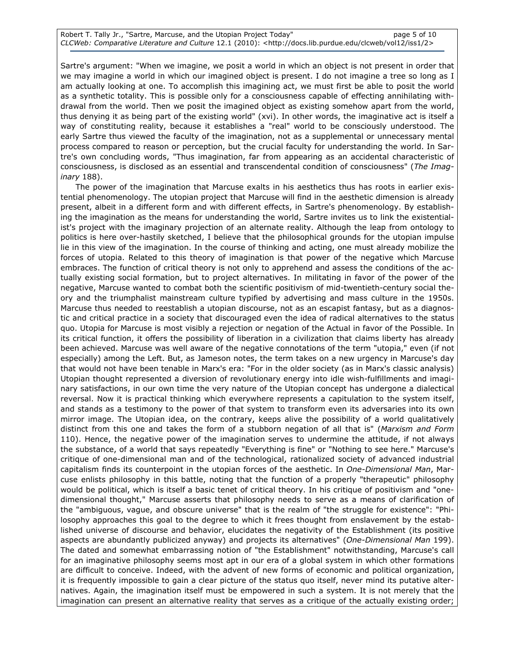Sartre's argument: "When we imagine, we posit a world in which an object is not present in order that we may imagine a world in which our imagined object is present. I do not imagine a tree so long as I am actually looking at one. To accomplish this imagining act, we must first be able to posit the world as a synthetic totality. This is possible only for a consciousness capable of effecting annihilating withdrawal from the world. Then we posit the imagined object as existing somehow apart from the world, thus denying it as being part of the existing world" (xvi). In other words, the imaginative act is itself a way of constituting reality, because it establishes a "real" world to be consciously understood. The early Sartre thus viewed the faculty of the imagination, not as a supplemental or unnecessary mental process compared to reason or perception, but the crucial faculty for understanding the world. In Sartre's own concluding words, "Thus imagination, far from appearing as an accidental characteristic of consciousness, is disclosed as an essential and transcendental condition of consciousness" (The Imaginary 188).

The power of the imagination that Marcuse exalts in his aesthetics thus has roots in earlier existential phenomenology. The utopian project that Marcuse will find in the aesthetic dimension is already present, albeit in a different form and with different effects, in Sartre's phenomenology. By establishing the imagination as the means for understanding the world, Sartre invites us to link the existentialist's project with the imaginary projection of an alternate reality. Although the leap from ontology to politics is here over-hastily sketched, I believe that the philosophical grounds for the utopian impulse lie in this view of the imagination. In the course of thinking and acting, one must already mobilize the forces of utopia. Related to this theory of imagination is that power of the negative which Marcuse embraces. The function of critical theory is not only to apprehend and assess the conditions of the actually existing social formation, but to project alternatives. In militating in favor of the power of the negative, Marcuse wanted to combat both the scientific positivism of mid-twentieth-century social theory and the triumphalist mainstream culture typified by advertising and mass culture in the 1950s. Marcuse thus needed to reestablish a utopian discourse, not as an escapist fantasy, but as a diagnostic and critical practice in a society that discouraged even the idea of radical alternatives to the status quo. Utopia for Marcuse is most visibly a rejection or negation of the Actual in favor of the Possible. In its critical function, it offers the possibility of liberation in a civilization that claims liberty has already been achieved. Marcuse was well aware of the negative connotations of the term "utopia," even (if not especially) among the Left. But, as Jameson notes, the term takes on a new urgency in Marcuse's day that would not have been tenable in Marx's era: "For in the older society (as in Marx's classic analysis) Utopian thought represented a diversion of revolutionary energy into idle wish-fulfillments and imaginary satisfactions, in our own time the very nature of the Utopian concept has undergone a dialectical reversal. Now it is practical thinking which everywhere represents a capitulation to the system itself, and stands as a testimony to the power of that system to transform even its adversaries into its own mirror image. The Utopian idea, on the contrary, keeps alive the possibility of a world qualitatively distinct from this one and takes the form of a stubborn negation of all that is" (Marxism and Form 110). Hence, the negative power of the imagination serves to undermine the attitude, if not always the substance, of a world that says repeatedly "Everything is fine" or "Nothing to see here." Marcuse's critique of one-dimensional man and of the technological, rationalized society of advanced industrial capitalism finds its counterpoint in the utopian forces of the aesthetic. In One-Dimensional Man, Marcuse enlists philosophy in this battle, noting that the function of a properly "therapeutic" philosophy would be political, which is itself a basic tenet of critical theory. In his critique of positivism and "onedimensional thought," Marcuse asserts that philosophy needs to serve as a means of clarification of the "ambiguous, vague, and obscure universe" that is the realm of "the struggle for existence": "Philosophy approaches this goal to the degree to which it frees thought from enslavement by the established universe of discourse and behavior, elucidates the negativity of the Establishment (its positive aspects are abundantly publicized anyway) and projects its alternatives" (One-Dimensional Man 199). The dated and somewhat embarrassing notion of "the Establishment" notwithstanding, Marcuse's call for an imaginative philosophy seems most apt in our era of a global system in which other formations are difficult to conceive. Indeed, with the advent of new forms of economic and political organization, it is frequently impossible to gain a clear picture of the status quo itself, never mind its putative alternatives. Again, the imagination itself must be empowered in such a system. It is not merely that the imagination can present an alternative reality that serves as a critique of the actually existing order;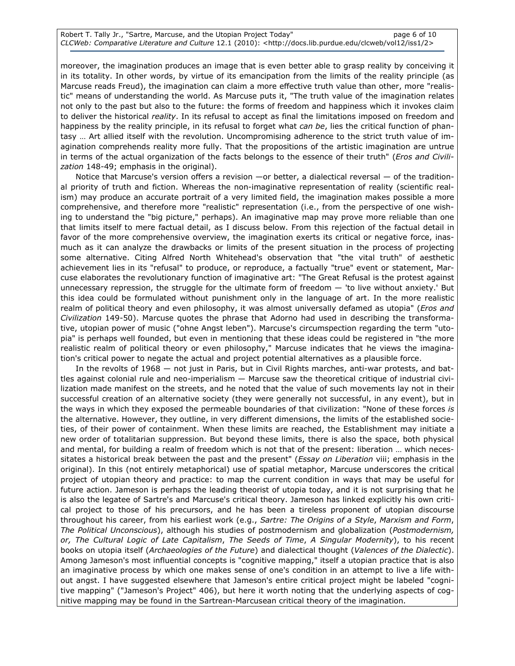moreover, the imagination produces an image that is even better able to grasp reality by conceiving it in its totality. In other words, by virtue of its emancipation from the limits of the reality principle (as Marcuse reads Freud), the imagination can claim a more effective truth value than other, more "realistic" means of understanding the world. As Marcuse puts it, "The truth value of the imagination relates not only to the past but also to the future: the forms of freedom and happiness which it invokes claim to deliver the historical *reality*. In its refusal to accept as final the limitations imposed on freedom and happiness by the reality principle, in its refusal to forget what can be, lies the critical function of phantasy … Art allied itself with the revolution. Uncompromising adherence to the strict truth value of imagination comprehends reality more fully. That the propositions of the artistic imagination are untrue in terms of the actual organization of the facts belongs to the essence of their truth" (Eros and Civilization 148-49; emphasis in the original).

Notice that Marcuse's version offers a revision —or better, a dialectical reversal — of the traditional priority of truth and fiction. Whereas the non-imaginative representation of reality (scientific realism) may produce an accurate portrait of a very limited field, the imagination makes possible a more comprehensive, and therefore more "realistic" representation (i.e., from the perspective of one wishing to understand the "big picture," perhaps). An imaginative map may prove more reliable than one that limits itself to mere factual detail, as I discuss below. From this rejection of the factual detail in favor of the more comprehensive overview, the imagination exerts its critical or negative force, inasmuch as it can analyze the drawbacks or limits of the present situation in the process of projecting some alternative. Citing Alfred North Whitehead's observation that "the vital truth" of aesthetic achievement lies in its "refusal" to produce, or reproduce, a factually "true" event or statement, Marcuse elaborates the revolutionary function of imaginative art: "The Great Refusal is the protest against unnecessary repression, the struggle for the ultimate form of freedom  $-$  'to live without anxiety.' But this idea could be formulated without punishment only in the language of art. In the more realistic realm of political theory and even philosophy, it was almost universally defamed as utopia" (*Eros and* Civilization 149-50). Marcuse quotes the phrase that Adorno had used in describing the transformative, utopian power of music ("ohne Angst leben"). Marcuse's circumspection regarding the term "utopia" is perhaps well founded, but even in mentioning that these ideas could be registered in "the more realistic realm of political theory or even philosophy," Marcuse indicates that he views the imagination's critical power to negate the actual and project potential alternatives as a plausible force.

In the revolts of 1968 — not just in Paris, but in Civil Rights marches, anti-war protests, and battles against colonial rule and neo-imperialism — Marcuse saw the theoretical critique of industrial civilization made manifest on the streets, and he noted that the value of such movements lay not in their successful creation of an alternative society (they were generally not successful, in any event), but in the ways in which they exposed the permeable boundaries of that civilization: "None of these forces is the alternative. However, they outline, in very different dimensions, the limits of the established societies, of their power of containment. When these limits are reached, the Establishment may initiate a new order of totalitarian suppression. But beyond these limits, there is also the space, both physical and mental, for building a realm of freedom which is not that of the present: liberation … which necessitates a historical break between the past and the present" (*Essay on Liberation* viii; emphasis in the original). In this (not entirely metaphorical) use of spatial metaphor, Marcuse underscores the critical project of utopian theory and practice: to map the current condition in ways that may be useful for future action. Jameson is perhaps the leading theorist of utopia today, and it is not surprising that he is also the legatee of Sartre's and Marcuse's critical theory. Jameson has linked explicitly his own critical project to those of his precursors, and he has been a tireless proponent of utopian discourse throughout his career, from his earliest work (e.g., Sartre: The Origins of a Style, Marxism and Form, The Political Unconscious), although his studies of postmodernism and globalization (Postmodernism, or, The Cultural Logic of Late Capitalism, The Seeds of Time, A Singular Modernity), to his recent books on utopia itself (Archaeologies of the Future) and dialectical thought (Valences of the Dialectic). Among Jameson's most influential concepts is "cognitive mapping," itself a utopian practice that is also an imaginative process by which one makes sense of one's condition in an attempt to live a life without angst. I have suggested elsewhere that Jameson's entire critical project might be labeled "cognitive mapping" ("Jameson's Project" 406), but here it worth noting that the underlying aspects of cognitive mapping may be found in the Sartrean-Marcusean critical theory of the imagination.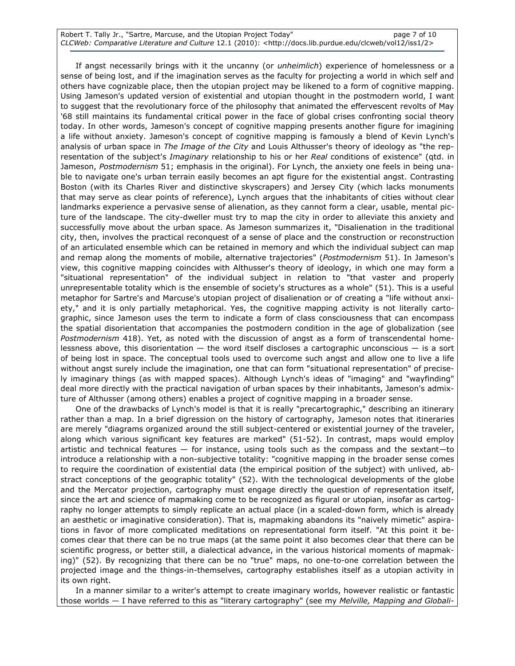If angst necessarily brings with it the uncanny (or *unheimlich*) experience of homelessness or a sense of being lost, and if the imagination serves as the faculty for projecting a world in which self and others have cognizable place, then the utopian project may be likened to a form of cognitive mapping. Using Jameson's updated version of existential and utopian thought in the postmodern world, I want to suggest that the revolutionary force of the philosophy that animated the effervescent revolts of May '68 still maintains its fundamental critical power in the face of global crises confronting social theory today. In other words, Jameson's concept of cognitive mapping presents another figure for imagining a life without anxiety. Jameson's concept of cognitive mapping is famously a blend of Kevin Lynch's analysis of urban space in The Image of the City and Louis Althusser's theory of ideology as "the representation of the subject's Imaginary relationship to his or her Real conditions of existence" (qtd. in Jameson, Postmodernism 51; emphasis in the original). For Lynch, the anxiety one feels in being unable to navigate one's urban terrain easily becomes an apt figure for the existential angst. Contrasting Boston (with its Charles River and distinctive skyscrapers) and Jersey City (which lacks monuments that may serve as clear points of reference), Lynch argues that the inhabitants of cities without clear landmarks experience a pervasive sense of alienation, as they cannot form a clear, usable, mental picture of the landscape. The city-dweller must try to map the city in order to alleviate this anxiety and successfully move about the urban space. As Jameson summarizes it, "Disalienation in the traditional city, then, involves the practical reconquest of a sense of place and the construction or reconstruction of an articulated ensemble which can be retained in memory and which the individual subject can map and remap along the moments of mobile, alternative trajectories" (Postmodernism 51). In Jameson's view, this cognitive mapping coincides with Althusser's theory of ideology, in which one may form a "situational representation" of the individual subject in relation to "that vaster and properly unrepresentable totality which is the ensemble of society's structures as a whole" (51). This is a useful metaphor for Sartre's and Marcuse's utopian project of disalienation or of creating a "life without anxiety," and it is only partially metaphorical. Yes, the cognitive mapping activity is not literally cartographic, since Jameson uses the term to indicate a form of class consciousness that can encompass the spatial disorientation that accompanies the postmodern condition in the age of globalization (see Postmodernism 418). Yet, as noted with the discussion of angst as a form of transcendental homelessness above, this disorientation  $-$  the word itself discloses a cartographic unconscious  $-$  is a sort of being lost in space. The conceptual tools used to overcome such angst and allow one to live a life without angst surely include the imagination, one that can form "situational representation" of precisely imaginary things (as with mapped spaces). Although Lynch's ideas of "imaging" and "wayfinding" deal more directly with the practical navigation of urban spaces by their inhabitants, Jameson's admixture of Althusser (among others) enables a project of cognitive mapping in a broader sense.

One of the drawbacks of Lynch's model is that it is really "precartographic," describing an itinerary rather than a map. In a brief digression on the history of cartography, Jameson notes that itineraries are merely "diagrams organized around the still subject-centered or existential journey of the traveler, along which various significant key features are marked" (51-52). In contrast, maps would employ artistic and technical features — for instance, using tools such as the compass and the sextant—to introduce a relationship with a non-subjective totality: "cognitive mapping in the broader sense comes to require the coordination of existential data (the empirical position of the subject) with unlived, abstract conceptions of the geographic totality" (52). With the technological developments of the globe and the Mercator projection, cartography must engage directly the question of representation itself, since the art and science of mapmaking come to be recognized as figural or utopian, insofar as cartography no longer attempts to simply replicate an actual place (in a scaled-down form, which is already an aesthetic or imaginative consideration). That is, mapmaking abandons its "naively mimetic" aspirations in favor of more complicated meditations on representational form itself. "At this point it becomes clear that there can be no true maps (at the same point it also becomes clear that there can be scientific progress, or better still, a dialectical advance, in the various historical moments of mapmaking)" (52). By recognizing that there can be no "true" maps, no one-to-one correlation between the projected image and the things-in-themselves, cartography establishes itself as a utopian activity in its own right.

In a manner similar to a writer's attempt to create imaginary worlds, however realistic or fantastic those worlds - I have referred to this as "literary cartography" (see my Melville, Mapping and Globali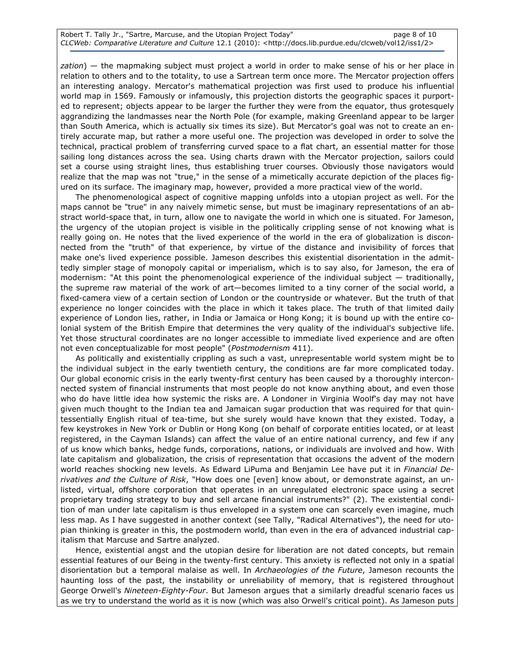$zation$ ) — the mapmaking subject must project a world in order to make sense of his or her place in relation to others and to the totality, to use a Sartrean term once more. The Mercator projection offers an interesting analogy. Mercator's mathematical projection was first used to produce his influential world map in 1569. Famously or infamously, this projection distorts the geographic spaces it purported to represent; objects appear to be larger the further they were from the equator, thus grotesquely aggrandizing the landmasses near the North Pole (for example, making Greenland appear to be larger than South America, which is actually six times its size). But Mercator's goal was not to create an entirely accurate map, but rather a more useful one. The projection was developed in order to solve the technical, practical problem of transferring curved space to a flat chart, an essential matter for those sailing long distances across the sea. Using charts drawn with the Mercator projection, sailors could set a course using straight lines, thus establishing truer courses. Obviously those navigators would realize that the map was not "true," in the sense of a mimetically accurate depiction of the places figured on its surface. The imaginary map, however, provided a more practical view of the world.

The phenomenological aspect of cognitive mapping unfolds into a utopian project as well. For the maps cannot be "true" in any naively mimetic sense, but must be imaginary representations of an abstract world-space that, in turn, allow one to navigate the world in which one is situated. For Jameson, the urgency of the utopian project is visible in the politically crippling sense of not knowing what is really going on. He notes that the lived experience of the world in the era of globalization is disconnected from the "truth" of that experience, by virtue of the distance and invisibility of forces that make one's lived experience possible. Jameson describes this existential disorientation in the admittedly simpler stage of monopoly capital or imperialism, which is to say also, for Jameson, the era of modernism: "At this point the phenomenological experience of the individual subject — traditionally, the supreme raw material of the work of art—becomes limited to a tiny corner of the social world, a fixed-camera view of a certain section of London or the countryside or whatever. But the truth of that experience no longer coincides with the place in which it takes place. The truth of that limited daily experience of London lies, rather, in India or Jamaica or Hong Kong; it is bound up with the entire colonial system of the British Empire that determines the very quality of the individual's subjective life. Yet those structural coordinates are no longer accessible to immediate lived experience and are often not even conceptualizable for most people" (Postmodernism 411).

As politically and existentially crippling as such a vast, unrepresentable world system might be to the individual subject in the early twentieth century, the conditions are far more complicated today. Our global economic crisis in the early twenty-first century has been caused by a thoroughly interconnected system of financial instruments that most people do not know anything about, and even those who do have little idea how systemic the risks are. A Londoner in Virginia Woolf's day may not have given much thought to the Indian tea and Jamaican sugar production that was required for that quintessentially English ritual of tea-time, but she surely would have known that they existed. Today, a few keystrokes in New York or Dublin or Hong Kong (on behalf of corporate entities located, or at least registered, in the Cayman Islands) can affect the value of an entire national currency, and few if any of us know which banks, hedge funds, corporations, nations, or individuals are involved and how. With late capitalism and globalization, the crisis of representation that occasions the advent of the modern world reaches shocking new levels. As Edward LiPuma and Benjamin Lee have put it in *Financial De*rivatives and the Culture of Risk, "How does one [even] know about, or demonstrate against, an unlisted, virtual, offshore corporation that operates in an unregulated electronic space using a secret proprietary trading strategy to buy and sell arcane financial instruments?" (2). The existential condition of man under late capitalism is thus enveloped in a system one can scarcely even imagine, much less map. As I have suggested in another context (see Tally, "Radical Alternatives"), the need for utopian thinking is greater in this, the postmodern world, than even in the era of advanced industrial capitalism that Marcuse and Sartre analyzed.

Hence, existential angst and the utopian desire for liberation are not dated concepts, but remain essential features of our Being in the twenty-first century. This anxiety is reflected not only in a spatial disorientation but a temporal malaise as well. In Archaeologies of the Future, Jameson recounts the haunting loss of the past, the instability or unreliability of memory, that is registered throughout George Orwell's Nineteen-Eighty-Four. But Jameson argues that a similarly dreadful scenario faces us as we try to understand the world as it is now (which was also Orwell's critical point). As Jameson puts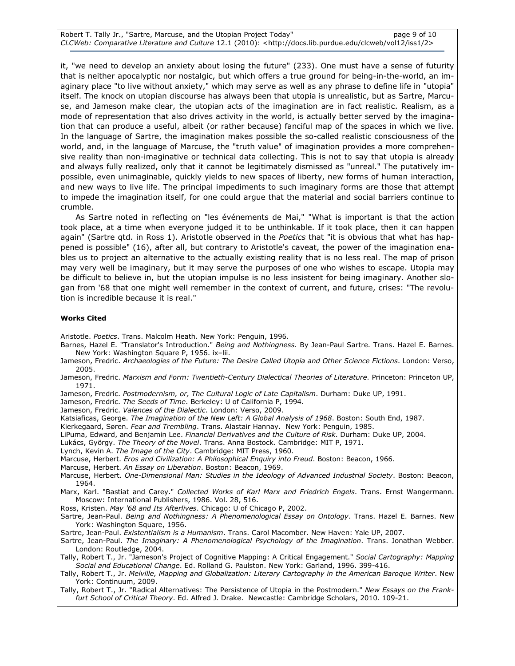it, "we need to develop an anxiety about losing the future" (233). One must have a sense of futurity that is neither apocalyptic nor nostalgic, but which offers a true ground for being-in-the-world, an imaginary place "to live without anxiety," which may serve as well as any phrase to define life in "utopia" itself. The knock on utopian discourse has always been that utopia is unrealistic, but as Sartre, Marcuse, and Jameson make clear, the utopian acts of the imagination are in fact realistic. Realism, as a mode of representation that also drives activity in the world, is actually better served by the imagination that can produce a useful, albeit (or rather because) fanciful map of the spaces in which we live. In the language of Sartre, the imagination makes possible the so-called realistic consciousness of the world, and, in the language of Marcuse, the "truth value" of imagination provides a more comprehensive reality than non-imaginative or technical data collecting. This is not to say that utopia is already and always fully realized, only that it cannot be legitimately dismissed as "unreal." The putatively impossible, even unimaginable, quickly yields to new spaces of liberty, new forms of human interaction, and new ways to live life. The principal impediments to such imaginary forms are those that attempt to impede the imagination itself, for one could argue that the material and social barriers continue to crumble.

As Sartre noted in reflecting on "les événements de Mai," "What is important is that the action took place, at a time when everyone judged it to be unthinkable. If it took place, then it can happen again" (Sartre gtd. in Ross 1). Aristotle observed in the Poetics that "it is obvious that what has happened is possible" (16), after all, but contrary to Aristotle's caveat, the power of the imagination enables us to project an alternative to the actually existing reality that is no less real. The map of prison may very well be imaginary, but it may serve the purposes of one who wishes to escape. Utopia may be difficult to believe in, but the utopian impulse is no less insistent for being imaginary. Another slogan from '68 that one might well remember in the context of current, and future, crises: "The revolution is incredible because it is real."

#### Works Cited

Aristotle. Poetics. Trans. Malcolm Heath. New York: Penguin, 1996.

- Barnes, Hazel E. "Translator's Introduction." Being and Nothingness. By Jean-Paul Sartre. Trans. Hazel E. Barnes. New York: Washington Square P, 1956. ix–lii.
- Jameson, Fredric. Archaeologies of the Future: The Desire Called Utopia and Other Science Fictions. London: Verso, 2005.
- Jameson, Fredric. Marxism and Form: Twentieth-Century Dialectical Theories of Literature. Princeton: Princeton UP, 1971.
- Jameson, Fredric. Postmodernism, or, The Cultural Logic of Late Capitalism. Durham: Duke UP, 1991.
- Jameson, Fredric. The Seeds of Time. Berkeley: U of California P, 1994.
- Jameson, Fredric. Valences of the Dialectic. London: Verso, 2009.
- Katsiaficas, George. The Imagination of the New Left: A Global Analysis of 1968. Boston: South End, 1987.
- Kierkegaard, Søren. Fear and Trembling. Trans. Alastair Hannay. New York: Penguin, 1985.
- LiPuma, Edward, and Benjamin Lee. Financial Derivatives and the Culture of Risk. Durham: Duke UP, 2004.
- Lukács, György. The Theory of the Novel. Trans. Anna Bostock. Cambridge: MIT P, 1971.
- Lynch, Kevin A. The Image of the City. Cambridge: MIT Press, 1960.
- Marcuse, Herbert. Eros and Civilization: A Philosophical Enquiry into Freud. Boston: Beacon, 1966.
- Marcuse, Herbert. An Essay on Liberation. Boston: Beacon, 1969.
- Marcuse, Herbert. One-Dimensional Man: Studies in the Ideology of Advanced Industrial Society. Boston: Beacon, 1964.
- Marx, Karl. "Bastiat and Carey." Collected Works of Karl Marx and Friedrich Engels. Trans. Ernst Wangermann. Moscow: International Publishers, 1986. Vol. 28, 516.
- Ross, Kristen. May '68 and Its Afterlives. Chicago: U of Chicago P, 2002.
- Sartre, Jean-Paul. Being and Nothingness: A Phenomenological Essay on Ontology. Trans. Hazel E. Barnes. New York: Washington Square, 1956.
- Sartre, Jean-Paul. Existentialism is a Humanism. Trans. Carol Macomber. New Haven: Yale UP, 2007.
- Sartre, Jean-Paul. The Imaginary: A Phenomenological Psychology of the Imagination. Trans. Jonathan Webber. London: Routledge, 2004.
- Tally, Robert T., Jr. "Jameson's Project of Cognitive Mapping: A Critical Engagement." Social Cartography: Mapping Social and Educational Change. Ed. Rolland G. Paulston. New York: Garland, 1996. 399-416.
- Tally, Robert T., Jr. Melville, Mapping and Globalization: Literary Cartography in the American Baroque Writer. New York: Continuum, 2009.
- Tally, Robert T., Jr. "Radical Alternatives: The Persistence of Utopia in the Postmodern." New Essays on the Frankfurt School of Critical Theory. Ed. Alfred J. Drake. Newcastle: Cambridge Scholars, 2010. 109-21.